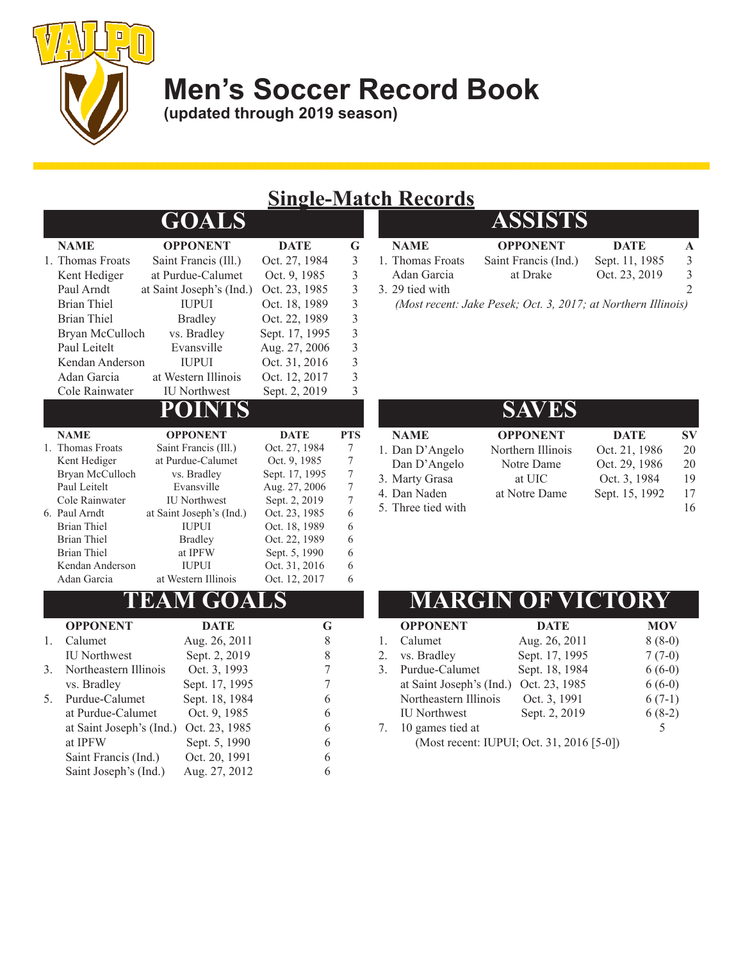

**Men's Soccer Record Book**

**(updated through 2019 season)**

#### **Single-Match Records**

|    |                                 | <b>GOALS</b>                             |                                |                                            |
|----|---------------------------------|------------------------------------------|--------------------------------|--------------------------------------------|
|    | <b>NAME</b>                     | <b>OPPONENT</b>                          | <b>DATE</b>                    | G                                          |
|    | 1. Thomas Froats                | Saint Francis (Ill.)                     | Oct. 27, 1984                  | $\mathfrak{Z}$                             |
|    | Kent Hediger                    | at Purdue-Calumet                        | Oct. 9, 1985                   | $\overline{3}$                             |
|    | Paul Arndt                      | at Saint Joseph's (Ind.)                 | Oct. 23, 1985                  | $\overline{3}$                             |
|    | <b>Brian Thiel</b>              | <b>IUPUI</b>                             | Oct. 18, 1989                  | $\overline{3}$                             |
|    | <b>Brian Thiel</b>              | <b>Bradley</b>                           | Oct. 22, 1989                  | $\overline{3}$                             |
|    | Bryan McCulloch                 | vs. Bradley                              | Sept. 17, 1995                 | $\begin{array}{c} 3 \\ 3 \\ 3 \end{array}$ |
|    | Paul Leitelt                    | Evansville                               | Aug. 27, 2006                  |                                            |
|    | Kendan Anderson                 | <b>IUPUI</b>                             | Oct. 31, 2016                  |                                            |
|    | Adan Garcia                     | at Western Illinois                      | Oct. 12, 2017                  | $\overline{\mathbf{3}}$                    |
|    | Cole Rainwater                  | <b>IU</b> Northwest                      | Sept. 2, 2019                  | $\overline{3}$                             |
|    |                                 | NTS<br>POI                               |                                |                                            |
|    | <b>NAME</b>                     | <b>OPPONENT</b>                          | <b>DATE</b>                    | <b>PTS</b>                                 |
|    | 1. Thomas Froats                | Saint Francis (Ill.)                     | Oct. 27, 1984                  | 7                                          |
|    | Kent Hediger                    | at Purdue-Calumet                        | Oct. 9, 1985                   | 7                                          |
|    | Bryan McCulloch                 | vs. Bradley                              | Sept. 17, 1995                 | $\overline{7}$                             |
|    | Paul Leitelt                    | Evansville                               | Aug. 27, 2006                  | 7                                          |
|    | Cole Rainwater<br>6. Paul Arndt | <b>IU</b> Northwest                      | Sept. 2, 2019<br>Oct. 23, 1985 | 7<br>6                                     |
|    | <b>Brian Thiel</b>              | at Saint Joseph's (Ind.)<br><b>IUPUI</b> | Oct. 18, 1989                  | 6                                          |
|    | <b>Brian Thiel</b>              | <b>Bradley</b>                           | Oct. 22, 1989                  | 6                                          |
|    | <b>Brian Thiel</b>              | at IPFW                                  | Sept. 5, 1990                  | 6                                          |
|    | Kendan Anderson                 | <b>IUPUI</b>                             | Oct. 31, 2016                  | 6                                          |
|    | Adan Garcia                     | at Western Illinois                      | Oct. 12, 2017                  | 6                                          |
|    |                                 | <b>TEAM GOALS</b>                        |                                |                                            |
|    | <b>OPPONENT</b>                 | <b>DATE</b>                              | G                              |                                            |
| 1. | Calumet                         | Aug. 26, 2011                            | 8                              |                                            |
|    | <b>IU</b> Northwest             | Sept. 2, 2019                            | 8                              |                                            |
| 3. | Northeastern Illinois           | Oct. 3, 1993                             | 7                              |                                            |
|    | vs. Bradley                     | Sept. 17, 1995                           | 7                              |                                            |
| 5. | Purdue-Calumet                  | Sept. 18, 1984                           | 6                              |                                            |
|    | at Purdue-Calumet               | Oct. 9, 1985                             | 6                              |                                            |
|    | at Saint Joseph's (Ind.)        | Oct. 23, 1985                            | 6                              |                                            |

at IPFW Sept. 5, 1990 6 Saint Francis (Ind.) Oct. 20, 1991 6 Saint Joseph's (Ind.) Aug. 27, 2012 6

| ------           |                                                               |                |               |
|------------------|---------------------------------------------------------------|----------------|---------------|
|                  | <b>ASSISTS</b>                                                |                |               |
| <b>NAME</b>      | <b>OPPONENT</b>                                               | <b>DATE</b>    |               |
| 1. Thomas Froats | Saint Francis (Ind.)                                          | Sept. 11, 1985 |               |
| Adan Garcia      | at Drake                                                      | Oct. 23, 2019  | $\mathcal{L}$ |
| 3. 29 tied with  |                                                               |                |               |
|                  | (Most recent: Jake Pesek; Oct. 3, 2017; at Northern Illinois) |                |               |

**NAME OPPONENT DATE SV** 1. Dan D'Angelo Northern Illinois Oct. 21, 1986 20 Dan D'Angelo Notre Dame Oct. 29, 1986 20 3. Marty Grasa at UIC Oct. 3, 1984 19 4. Dan Naden at Notre Dame Sept. 15, 1992 17 5. Three tied with 16 **SAVES**

#### **MARGIN OF VICTOR**

|    | <b>OPPONENT</b>          | <b>DATE</b>                               | <b>MOV</b> |
|----|--------------------------|-------------------------------------------|------------|
|    | Calumet                  | Aug. 26, 2011                             | $8(8-0)$   |
| 2. | vs. Bradley              | Sept. 17, 1995                            | $7(7-0)$   |
| 3. | Purdue-Calumet           | Sept. 18, 1984                            | $6(6-0)$   |
|    | at Saint Joseph's (Ind.) | Oct. 23, 1985                             | $6(6-0)$   |
|    | Northeastern Illinois    | Oct. 3, 1991                              | $6(7-1)$   |
|    | <b>IU</b> Northwest      | Sept. 2, 2019                             | $6(8-2)$   |
|    | 10 games tied at         |                                           |            |
|    |                          | (Most recent: IUPUI; Oct. 31, 2016 [5-0]) |            |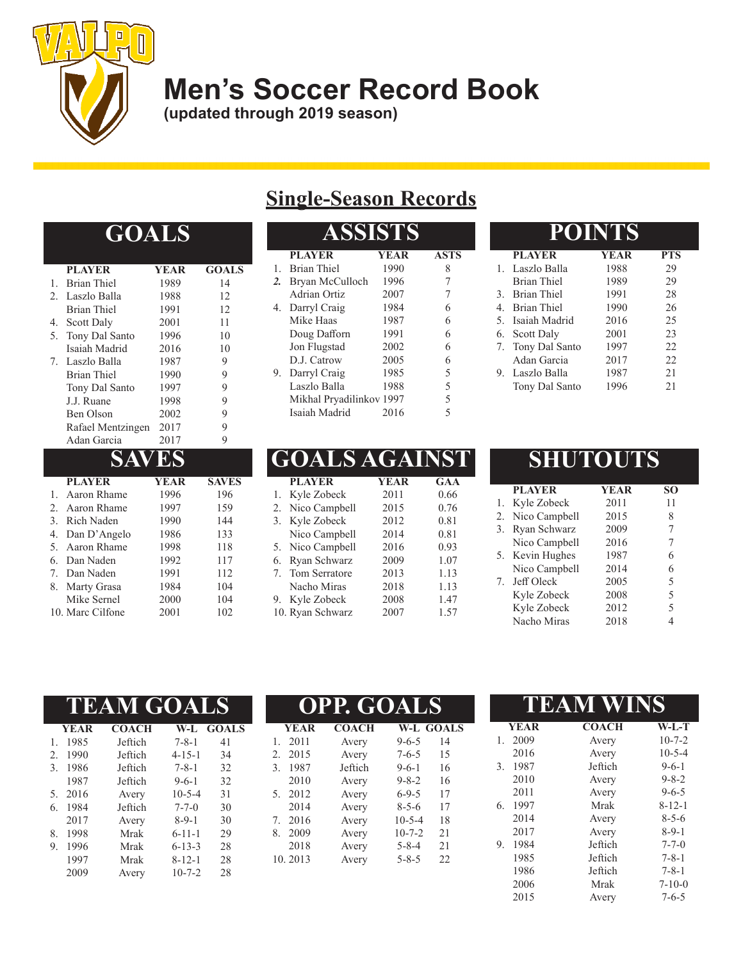

# **Men's Soccer Record Book**

**(updated through 2019 season)**

#### **GOALS**

|    | <b>PLAYER</b>      | YEAR | <b>GOALS</b> |
|----|--------------------|------|--------------|
| 1. | <b>Brian Thiel</b> | 1989 | 14           |
| 2. | Laszlo Balla       | 1988 | 12           |
|    | <b>Brian Thiel</b> | 1991 | 12           |
|    | 4. Scott Daly      | 2001 | 11           |
| 5. | Tony Dal Santo     | 1996 | 10           |
|    | Isaiah Madrid      | 2016 | 10           |
|    | 7. Laszlo Balla    | 1987 | 9            |
|    | <b>Brian Thiel</b> | 1990 | 9            |
|    | Tony Dal Santo     | 1997 | 9            |
|    | J.J. Ruane         | 1998 | 9            |
|    | Ben Olson          | 2002 | 9            |
|    | Rafael Mentzingen  | 2017 | 9            |
|    | Adan Garcia        | 2017 | 9            |
|    | SAVES              |      |              |
|    | <b>PLAYER</b>      | YEAR | <b>SAVES</b> |
|    | Aaron Rhame        | 1996 | 196          |
|    |                    |      |              |

| 1. Aaron Rhame   | 1996 | 196 |
|------------------|------|-----|
| 2. Aaron Rhame   | 1997 | 159 |
| 3. Rich Naden    | 1990 | 144 |
| 4. Dan D'Angelo  | 1986 | 133 |
| 5. Aaron Rhame   | 1998 | 118 |
| 6. Dan Naden     | 1992 | 117 |
| 7. Dan Naden     | 1991 | 112 |
| 8. Marty Grasa   | 1984 | 104 |
| Mike Sernel      | 2000 | 104 |
| 10. Marc Cilfone | 2001 | 102 |

### **Single-Season Records**

|                  | <b>SSISTS</b>            |             |             |  |  |  |
|------------------|--------------------------|-------------|-------------|--|--|--|
|                  | <b>PLAYER</b>            | <b>YEAR</b> | <b>ASTS</b> |  |  |  |
| 1.               | Brian Thiel              | 1990        | 8           |  |  |  |
| $\overline{2}$ . | Bryan McCulloch          | 1996        | 7           |  |  |  |
|                  | Adrian Ortiz             | 2007        | 7           |  |  |  |
| 4.               | Darryl Craig             | 1984        | 6           |  |  |  |
|                  | Mike Haas                | 1987        | 6           |  |  |  |
|                  | Doug Dafforn             | 1991        | 6           |  |  |  |
|                  | Jon Flugstad             | 2002        | 6           |  |  |  |
|                  | D.J. Catrow              | 2005        | 6           |  |  |  |
| 9.               | Darryl Craig             | 1985        | 5           |  |  |  |
|                  | Laszlo Balla             | 1988        | 5           |  |  |  |
|                  | Mikhal Pryadilinkov 1997 |             | 5           |  |  |  |
|                  | Isaiah Madrid            | 2016        | 5           |  |  |  |

|    | GOALS AGAINST    |             |            |
|----|------------------|-------------|------------|
|    | <b>PLAYER</b>    | <b>YEAR</b> | <b>GAA</b> |
| 1. | Kyle Zobeck      | 2011        | 0.66       |
| 2. | Nico Campbell    | 2015        | 0.76       |
| 3. | Kyle Zobeck      | 2012        | 0.81       |
|    | Nico Campbell    | 2014        | 0.81       |
| 5. | Nico Campbell    | 2016        | 0.93       |
| 6. | Ryan Schwarz     | 2009        | 1.07       |
| 7. | Tom Serratore    | 2013        | 1.13       |
|    | Nacho Miras      | 2018        | 1.13       |
| 9. | Kyle Zobeck      | 2008        | 1.47       |
|    | 10. Ryan Schwarz | 2007        | 1.57       |
|    |                  |             |            |

#### **POINTS PLAYER YEAR PTS** 1. Laszlo Balla 1988 29 Brian Thiel 1989 29 3. Brian Thiel 1991 28 4. Brian Thiel 1990 26<br>5. Isaiah Madrid 2016 25 5. Isaiah Madrid 2016 25<br>6. Scott Daly 2001 23 6. Scott Daly 2001 23<br>
7. Tony Dal Santo 1997 22 7. Tony Dal Santo 1997 22<br>Adan Garcia 2017 22 Adan Garcia 2017 22<br>Laszlo Balla 1987 21 9. Laszlo Balla 1987 21<br>Tony Dal Santo 1996 21 Tony Dal Santo 1996

|    | SHUTOUTS      |             |    |
|----|---------------|-------------|----|
|    | <b>PLAYER</b> | <b>YEAR</b> | SΟ |
|    | Kyle Zobeck   | 2011        | 11 |
| 2. | Nico Campbell | 2015        | 8  |
| 3. | Ryan Schwarz  | 2009        | 7  |
|    | Nico Campbell | 2016        |    |
| 5. | Kevin Hughes  | 1987        | 6  |
|    | Nico Campbell | 2014        | 6  |
| 7. | Jeff Oleck    | 2005        | 5  |
|    | Kyle Zobeck   | 2008        | 5  |
|    | Kyle Zobeck   | 2012        | 5  |
|    | Nacho Miras   | 2018        |    |

2015 Avery 7-6-5

| <b>TEAM GOALS</b> |              |              | <b>OPP. GOALS</b> |             |              |              | <b>WINS</b><br>TEA<br>M |    |             |              |              |
|-------------------|--------------|--------------|-------------------|-------------|--------------|--------------|-------------------------|----|-------------|--------------|--------------|
| <b>YEAR</b>       | <b>COACH</b> | $W-I$        | <b>GOALS</b>      | <b>YEAR</b> | <b>COACH</b> |              | <b>W-L GOALS</b>        |    | <b>YEAR</b> | <b>COACH</b> | $W-L-T$      |
| 1. 1985           | Jeftich      | $7 - 8 - 1$  | 41                | 2011        | Avery        | $9 - 6 - 5$  | 14                      |    | 2009        | Avery        | $10 - 7 - 2$ |
| 2. 1990           | Jeftich      | $4 - 15 - 1$ | 34                | 2015<br>2.  | Avery        | $7 - 6 - 5$  | 15                      |    | 2016        | Avery        | $10 - 5 - 4$ |
| 3. 1986           | Jeftich      | $7 - 8 - 1$  | 32                | 1987<br>3.  | Jeftich      | $9 - 6 - 1$  | 16                      | 3. | 1987        | Jeftich      | $9 - 6 - 1$  |
| 1987              | Jeftich      | $9 - 6 - 1$  | 32                | 2010        | Avery        | $9 - 8 - 2$  | 16                      |    | 2010        | Avery        | $9 - 8 - 2$  |
| 5. 2016           | Avery        | $10 - 5 - 4$ | 31                | 2012<br>5.  | Avery        | $6 - 9 - 5$  | 17                      |    | 2011        | Avery        | $9 - 6 - 5$  |
| 6. 1984           | Jeftich      | $7 - 7 - 0$  | 30                | 2014        | Avery        | $8 - 5 - 6$  | 17                      | 6. | 1997        | Mrak         | $8 - 12 - 1$ |
| 2017              | Avery        | $8 - 9 - 1$  | 30                | 2016<br>7.  | Avery        | $10-5-4$     | 18                      |    | 2014        | Avery        | $8 - 5 - 6$  |
| 8. 1998           | <b>Mrak</b>  | $6 - 11 - 1$ | 29                | 2009<br>8.  | Avery        | $10 - 7 - 2$ | 21                      |    | 2017        | Avery        | $8 - 9 - 1$  |
| 9. 1996           | Mrak         | $6 - 13 - 3$ | 28                | 2018        | Avery        | $5 - 8 - 4$  | 2.1                     | 9. | 1984        | Jeftich      | $7 - 7 - 0$  |
| 1997              | Mrak         | $8 - 12 - 1$ | 28                | 10.2013     | Avery        | $5 - 8 - 5$  | 22                      |    | 1985        | Jeftich      | $7 - 8 - 1$  |
| 2009              | Avery        | $10 - 7 - 2$ | 28                |             |              |              |                         |    | 1986        | Jeftich      | $7 - 8 - 1$  |
|                   |              |              |                   |             |              |              |                         |    | 2006        | Mrak         | $7 - 10 - 0$ |